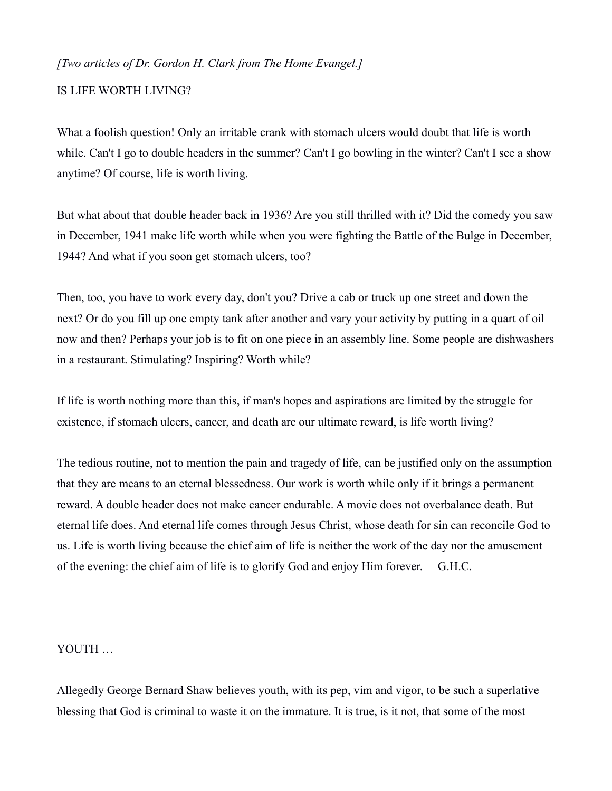## *[Two articles of Dr. Gordon H. Clark from The Home Evangel.]*

## IS LIFE WORTH LIVING?

What a foolish question! Only an irritable crank with stomach ulcers would doubt that life is worth while. Can't I go to double headers in the summer? Can't I go bowling in the winter? Can't I see a show anytime? Of course, life is worth living.

But what about that double header back in 1936? Are you still thrilled with it? Did the comedy you saw in December, 1941 make life worth while when you were fighting the Battle of the Bulge in December, 1944? And what if you soon get stomach ulcers, too?

Then, too, you have to work every day, don't you? Drive a cab or truck up one street and down the next? Or do you fill up one empty tank after another and vary your activity by putting in a quart of oil now and then? Perhaps your job is to fit on one piece in an assembly line. Some people are dishwashers in a restaurant. Stimulating? Inspiring? Worth while?

If life is worth nothing more than this, if man's hopes and aspirations are limited by the struggle for existence, if stomach ulcers, cancer, and death are our ultimate reward, is life worth living?

The tedious routine, not to mention the pain and tragedy of life, can be justified only on the assumption that they are means to an eternal blessedness. Our work is worth while only if it brings a permanent reward. A double header does not make cancer endurable. A movie does not overbalance death. But eternal life does. And eternal life comes through Jesus Christ, whose death for sin can reconcile God to us. Life is worth living because the chief aim of life is neither the work of the day nor the amusement of the evening: the chief aim of life is to glorify God and enjoy Him forever. – G.H.C.

## YOUTH …

Allegedly George Bernard Shaw believes youth, with its pep, vim and vigor, to be such a superlative blessing that God is criminal to waste it on the immature. It is true, is it not, that some of the most